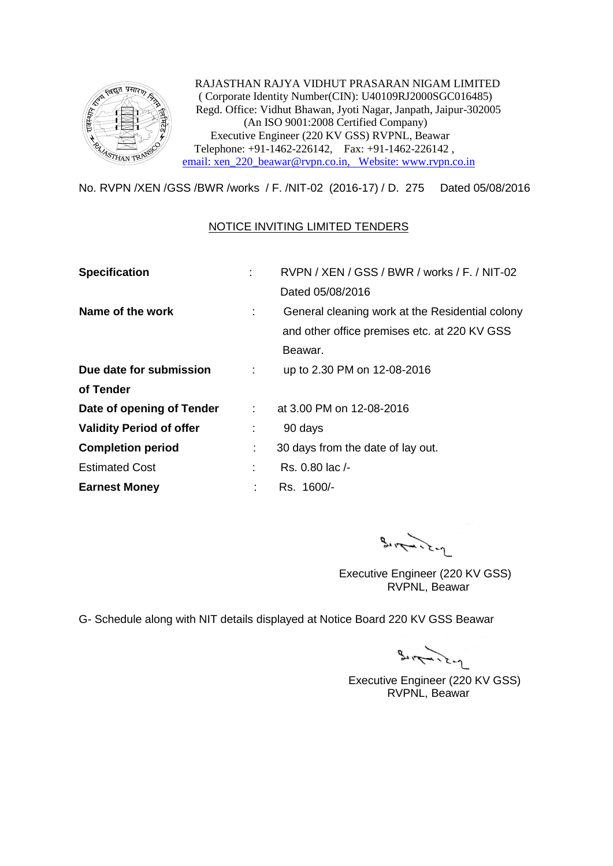

 RAJASTHAN RAJYA VIDHUT PRASARAN NIGAM LIMITED ( Corporate Identity Number(CIN): U40109RJ2000SGC016485) Regd. Office: Vidhut Bhawan, Jyoti Nagar, Janpath, Jaipur-302005 (An ISO 9001:2008 Certified Company) Executive Engineer (220 KV GSS) RVPNL, Beawar Telephone: +91-1462-226142, Fax: +91-1462-226142 , [email: xen\\_220\\_beawar@rvpn.co.in, Website: www.rvpn.co.in](mailto:email:%20xen_220_beawar@rvpn.co.in,%20%20%20Website:%20www.rvpn.co.in)

No. RVPN /XEN /GSS /BWR /works / F. /NIT-02 (2016-17) / D. 275 Dated 05/08/2016

## NOTICE INVITING LIMITED TENDERS

| <b>Specification</b>            |                            | RVPN / XEN / GSS / BWR / works / F. / NIT-02    |  |  |
|---------------------------------|----------------------------|-------------------------------------------------|--|--|
|                                 |                            | Dated 05/08/2016                                |  |  |
| Name of the work                |                            | General cleaning work at the Residential colony |  |  |
|                                 |                            | and other office premises etc. at 220 KV GSS    |  |  |
|                                 |                            | Beawar.                                         |  |  |
| Due date for submission         | ÷                          | up to 2.30 PM on 12-08-2016                     |  |  |
| of Tender                       |                            |                                                 |  |  |
| Date of opening of Tender       | $\mathcal{L}^{\text{max}}$ | at 3.00 PM on 12-08-2016                        |  |  |
| <b>Validity Period of offer</b> | ÷                          | 90 days                                         |  |  |
| <b>Completion period</b>        | ÷                          | 30 days from the date of lay out.               |  |  |
| <b>Estimated Cost</b>           |                            | Rs. 0.80 lac /-                                 |  |  |
| <b>Earnest Money</b>            |                            | Rs. 1600/-                                      |  |  |

 $9 - 2 - 2 - 1$ 

 Executive Engineer (220 KV GSS) RVPNL, Beawar

G- Schedule along with NIT details displayed at Notice Board 220 KV GSS Beawar

 $3.77.2 - 2$ 

 Executive Engineer (220 KV GSS) RVPNL, Beawar